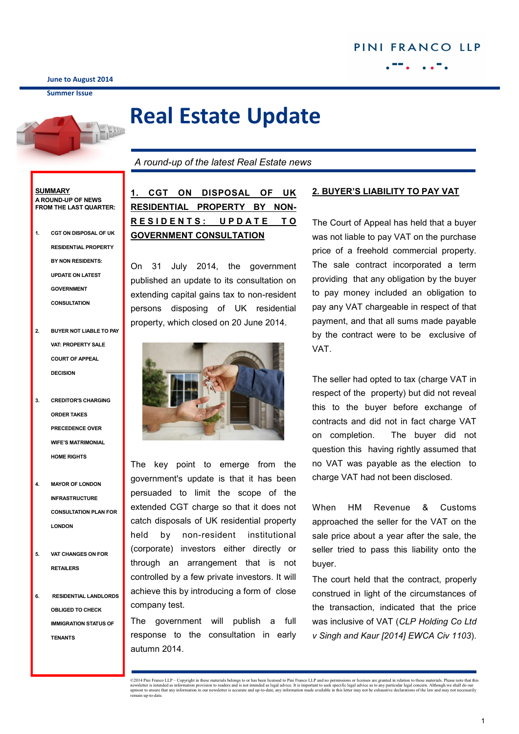**June to August 2014**

**Summer Issue**



# **Real Estate Update**

*A round-up of the latest Real Estate news* 

#### **SUMMARY A ROUND-UP OF NEWS FROM THE LAST QUARTER:**

- **1. CGT ON DISPOSAL OF UK RESIDENTIAL PROPERTY BY NON RESIDENTS: UPDATE ON LATEST GOVERNMENT CONSULTATION**
- **2. BUYER NOT LIABLE TO PAY VAT: PROPERTY SALE COURT OF APPEAL DECISION**
- **3. CREDITOR'S CHARGING ORDER TAKES PRECEDENCE OVER WIFE'S MATRIMONIAL HOME RIGHTS**
- **4. MAYOR OF LONDON INFRASTRUCTURE CONSULTATION PLAN FOR LONDON**
- **5. VAT CHANGES ON FOR RETAILERS**
- **6. RESIDENTIAL LANDLORDS OBLIGED TO CHECK IMMIGRATION STATUS OF TENANTS**

**1. CGT ON DISPOSAL OF UK RESIDENTIAL PROPERTY BY NON-R E S I D E N T S : U P D A T E T O GOVERNMENT CONSULTATION**

On 31 July 2014, the government published an update to its consultation on extending capital gains tax to non-resident persons disposing of UK residential property, which closed on 20 June 2014.



The key point to emerge from the government's update is that it has been persuaded to limit the scope of the extended CGT charge so that it does not catch disposals of UK residential property held by non-resident institutional (corporate) investors either directly or through an arrangement that is not controlled by a few private investors. It will achieve this by introducing a form of close company test.

The government will publish a full response to the consultation in early autumn 2014.

### **2. BUYER'S LIABILITY TO PAY VAT**

The Court of Appeal has held that a buyer was not liable to pay VAT on the purchase price of a freehold commercial property. The sale contract incorporated a term providing that any obligation by the buyer to pay money included an obligation to pay any VAT chargeable in respect of that payment, and that all sums made payable by the contract were to be exclusive of VAT.

The seller had opted to tax (charge VAT in respect of the property) but did not reveal this to the buyer before exchange of contracts and did not in fact charge VAT on completion. The buyer did not question this having rightly assumed that no VAT was payable as the election to charge VAT had not been disclosed.

When HM Revenue & Customs approached the seller for the VAT on the sale price about a year after the sale, the seller tried to pass this liability onto the buyer.

The court held that the contract, properly construed in light of the circumstances of the transaction, indicated that the price was inclusive of VAT (*CLP Holding Co Ltd v Singh and Kaur [2014] EWCA Civ 1103*).

<sup>©2014</sup> Pini Franco LLP - Copyright in these materials belongs to or has been licensed to Pini Franco LLP and no permissions or licenses are granted in relation to these materials. Please note that this newsletter is intended as information provision to readers and is not intended as legal advice. It is important to seek specific legal advice as to any particular legal concern. Although we shall do our<br>upmost to ensure th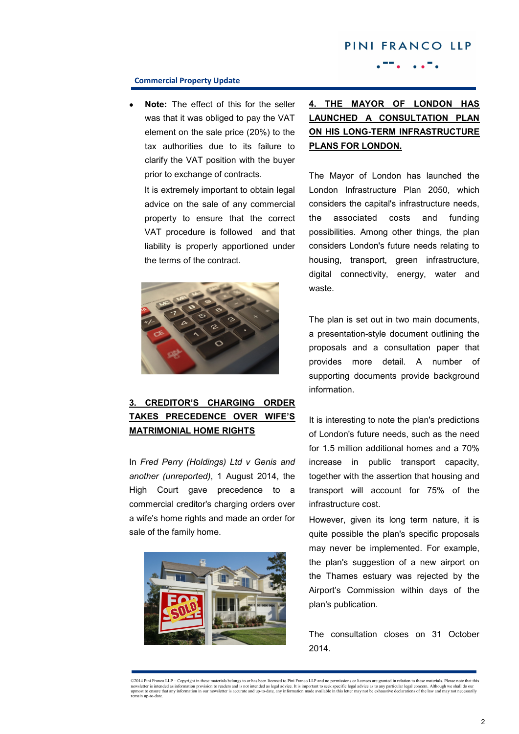# PINI FRANCO LLP

### **Commercial Property Update**

**Note:** The effect of this for the seller was that it was obliged to pay the VAT element on the sale price (20%) to the tax authorities due to its failure to clarify the VAT position with the buyer prior to exchange of contracts.

It is extremely important to obtain legal advice on the sale of any commercial property to ensure that the correct VAT procedure is followed and that liability is properly apportioned under the terms of the contract.



### **3. CREDITOR'S CHARGING ORDER TAKES PRECEDENCE OVER WIFE'S MATRIMONIAL HOME RIGHTS**

In *Fred Perry (Holdings) Ltd v Genis and another (unreported)*, 1 August 2014, the High Court gave precedence to a commercial creditor's charging orders over a wife's home rights and made an order for sale of the family home.



## **4. THE MAYOR OF LONDON HAS LAUNCHED A CONSULTATION PLAN ON HIS LONG-TERM INFRASTRUCTURE PLANS FOR LONDON.**

The Mayor of London has launched the London Infrastructure Plan 2050, which considers the capital's infrastructure needs, the associated costs and funding possibilities. Among other things, the plan considers London's future needs relating to housing, transport, green infrastructure, digital connectivity, energy, water and waste.

The plan is set out in two main documents, a presentation-style document outlining the proposals and a consultation paper that provides more detail. A number of supporting documents provide background information.

It is interesting to note the plan's predictions of London's future needs, such as the need for 1.5 million additional homes and a 70% increase in public transport capacity, together with the assertion that housing and transport will account for 75% of the infrastructure cost.

However, given its long term nature, it is quite possible the plan's specific proposals may never be implemented. For example, the plan's suggestion of a new airport on the Thames estuary was rejected by the Airport's Commission within days of the plan's publication.

The consultation closes on 31 October 2014.

<sup>©2014</sup> Pini Franco LLP – Copyright in these materials belongs to or has been licensed to Pini Franco LLP and no permissions or licenses are granted in relation to these materials. Please note that this rewsletter is incorna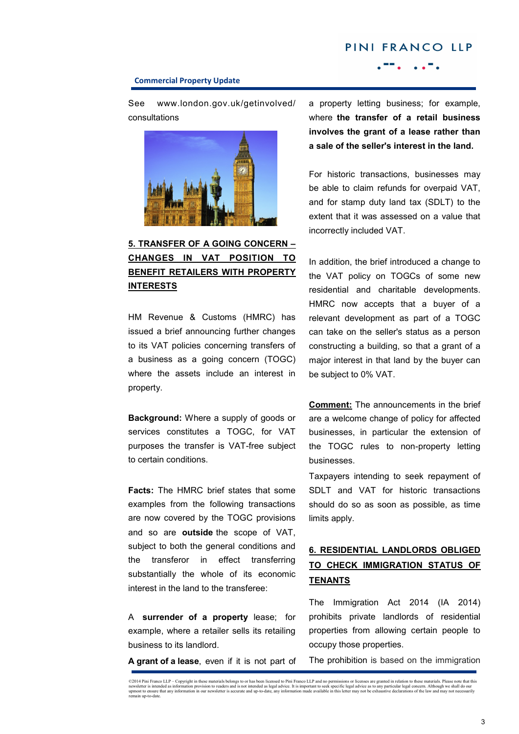# PINI FRANCO LLP

#### **Commercial Property Update**

See www.london.gov.uk/getinvolved/ consultations



### **5. TRANSFER OF A GOING CONCERN – CHANGES IN VAT POSITION TO BENEFIT RETAILERS WITH PROPERTY INTERESTS**

HM Revenue & Customs (HMRC) has issued a brief announcing further changes to its VAT policies concerning transfers of a business as a going concern (TOGC) where the assets include an interest in property.

**Background:** Where a supply of goods or services constitutes a TOGC, for VAT purposes the transfer is VAT-free subject to certain conditions.

**Facts:** The HMRC brief states that some examples from the following transactions are now covered by the TOGC provisions and so are **outside** the scope of VAT, subject to both the general conditions and the transferor in effect transferring substantially the whole of its economic interest in the land to the transferee:

A **surrender of a property** lease; for example, where a retailer sells its retailing business to its landlord.

**A grant of a lease**, even if it is not part of

a property letting business; for example, where **the transfer of a retail business involves the grant of a lease rather than a sale of the seller's interest in the land.** 

For historic transactions, businesses may be able to claim refunds for overpaid VAT, and for stamp duty land tax (SDLT) to the extent that it was assessed on a value that incorrectly included VAT.

In addition, the brief introduced a change to the VAT policy on TOGCs of some new residential and charitable developments. HMRC now accepts that a buyer of a relevant development as part of a TOGC can take on the seller's status as a person constructing a building, so that a grant of a major interest in that land by the buyer can be subject to 0% VAT.

**Comment:** The announcements in the brief are a welcome change of policy for affected businesses, in particular the extension of the TOGC rules to non-property letting businesses.

Taxpayers intending to seek repayment of SDLT and VAT for historic transactions should do so as soon as possible, as time limits apply.

## **6. RESIDENTIAL LANDLORDS OBLIGED TO CHECK IMMIGRATION STATUS OF TENANTS**

The Immigration Act 2014 (IA 2014) prohibits private landlords of residential properties from allowing certain people to occupy those properties.

The prohibition is based on the immigration

<sup>©2014</sup> Pini Franco LLP – Copyright in these materials belongs to or has been licensed to Pini Franco LLP and no permissions or licenses are granted in relation to these materials. Please note that this rewsletter is incorde